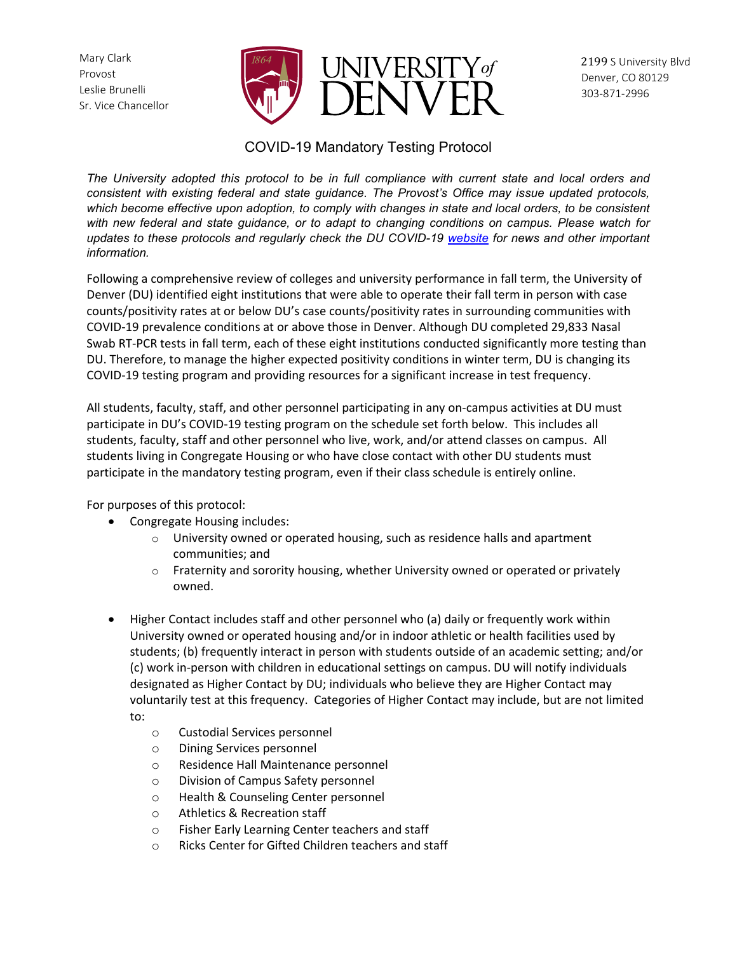Mary Clark Provost Leslie Brunelli Sr. Vice Chancellor



# COVID-19 Mandatory Testing Protocol

*The University adopted this protocol to be in full compliance with current state and local orders and consistent with existing federal and state guidance. The Provost's Office may issue updated protocols, which become effective upon adoption, to comply with changes in state and local orders, to be consistent with new federal and state guidance, or to adapt to changing conditions on campus. Please watch for updates to these protocols and regularly check the DU COVID-19 [website](https://www.du.edu/coronavirus) for news and other important information.*

Following a comprehensive review of colleges and university performance in fall term, the University of Denver (DU) identified eight institutions that were able to operate their fall term in person with case counts/positivity rates at or below DU's case counts/positivity rates in surrounding communities with COVID-19 prevalence conditions at or above those in Denver. Although DU completed 29,833 Nasal Swab RT-PCR tests in fall term, each of these eight institutions conducted significantly more testing than DU. Therefore, to manage the higher expected positivity conditions in winter term, DU is changing its COVID-19 testing program and providing resources for a significant increase in test frequency.

All students, faculty, staff, and other personnel participating in any on-campus activities at DU must participate in DU's COVID-19 testing program on the schedule set forth below. This includes all students, faculty, staff and other personnel who live, work, and/or attend classes on campus. All students living in Congregate Housing or who have close contact with other DU students must participate in the mandatory testing program, even if their class schedule is entirely online.

For purposes of this protocol:

- Congregate Housing includes:
	- o University owned or operated housing, such as residence halls and apartment communities; and
	- $\circ$  Fraternity and sorority housing, whether University owned or operated or privately owned.
- Higher Contact includes staff and other personnel who (a) daily or frequently work within University owned or operated housing and/or in indoor athletic or health facilities used by students; (b) frequently interact in person with students outside of an academic setting; and/or (c) work in-person with children in educational settings on campus. DU will notify individuals designated as Higher Contact by DU; individuals who believe they are Higher Contact may voluntarily test at this frequency. Categories of Higher Contact may include, but are not limited to:
	- o Custodial Services personnel
	- o Dining Services personnel
	- o Residence Hall Maintenance personnel
	- o Division of Campus Safety personnel
	- o Health & Counseling Center personnel
	- o Athletics & Recreation staff
	- o Fisher Early Learning Center teachers and staff
	- o Ricks Center for Gifted Children teachers and staff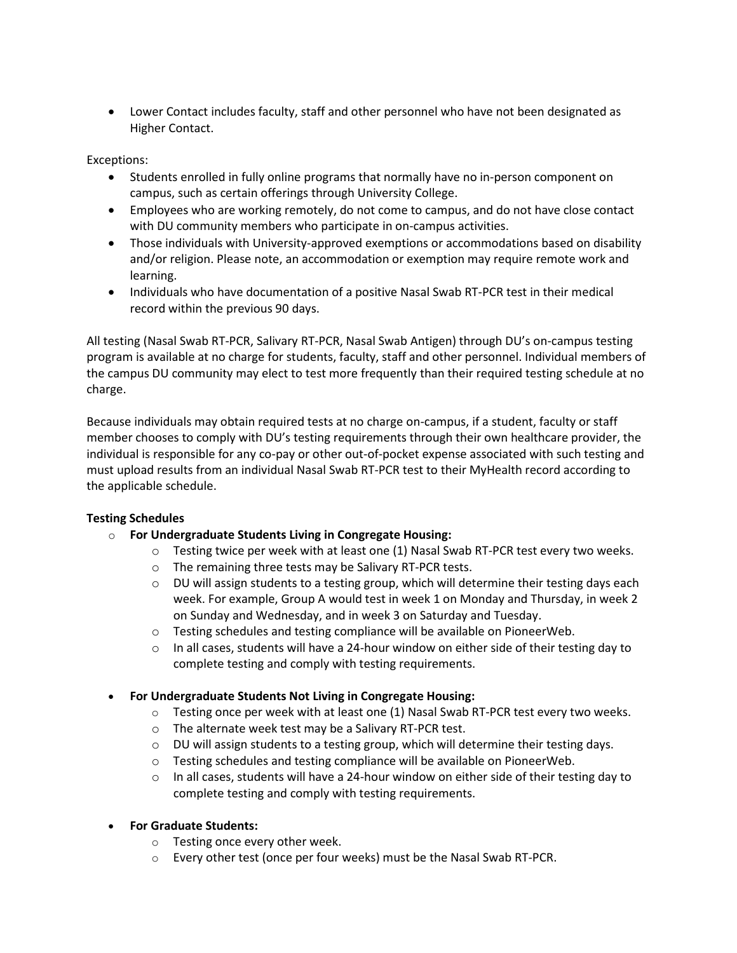• Lower Contact includes faculty, staff and other personnel who have not been designated as Higher Contact.

Exceptions:

- Students enrolled in fully online programs that normally have no in-person component on campus, such as certain offerings through University College.
- Employees who are working remotely, do not come to campus, and do not have close contact with DU community members who participate in on-campus activities.
- Those individuals with University-approved exemptions or accommodations based on disability and/or religion. Please note, an accommodation or exemption may require remote work and learning.
- Individuals who have documentation of a positive Nasal Swab RT-PCR test in their medical record within the previous 90 days.

All testing (Nasal Swab RT-PCR, Salivary RT-PCR, Nasal Swab Antigen) through DU's on-campus testing program is available at no charge for students, faculty, staff and other personnel. Individual members of the campus DU community may elect to test more frequently than their required testing schedule at no charge.

Because individuals may obtain required tests at no charge on-campus, if a student, faculty or staff member chooses to comply with DU's testing requirements through their own healthcare provider, the individual is responsible for any co-pay or other out-of-pocket expense associated with such testing and must upload results from an individual Nasal Swab RT-PCR test to their MyHealth record according to the applicable schedule.

# **Testing Schedules**

- o **For Undergraduate Students Living in Congregate Housing:**
	- $\circ$  Testing twice per week with at least one (1) Nasal Swab RT-PCR test every two weeks.
	- o The remaining three tests may be Salivary RT-PCR tests.
	- $\circ$  DU will assign students to a testing group, which will determine their testing days each week. For example, Group A would test in week 1 on Monday and Thursday, in week 2 on Sunday and Wednesday, and in week 3 on Saturday and Tuesday.
	- o Testing schedules and testing compliance will be available on PioneerWeb.
	- $\circ$  In all cases, students will have a 24-hour window on either side of their testing day to complete testing and comply with testing requirements.
- **For Undergraduate Students Not Living in Congregate Housing:**
	- $\circ$  Testing once per week with at least one (1) Nasal Swab RT-PCR test every two weeks.
	- o The alternate week test may be a Salivary RT-PCR test.
	- $\circ$  DU will assign students to a testing group, which will determine their testing days.
	- o Testing schedules and testing compliance will be available on PioneerWeb.
	- $\circ$  In all cases, students will have a 24-hour window on either side of their testing day to complete testing and comply with testing requirements.
- **For Graduate Students:** 
	- o Testing once every other week.
	- $\circ$  Every other test (once per four weeks) must be the Nasal Swab RT-PCR.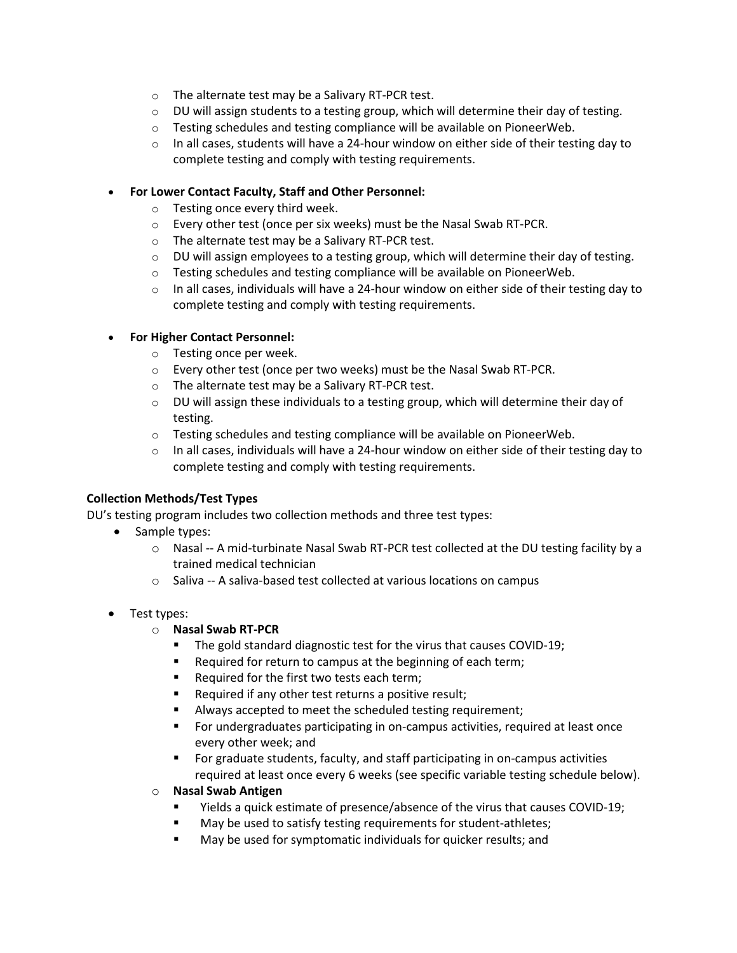- o The alternate test may be a Salivary RT-PCR test.
- $\circ$  DU will assign students to a testing group, which will determine their day of testing.
- $\circ$  Testing schedules and testing compliance will be available on PioneerWeb.
- $\circ$  In all cases, students will have a 24-hour window on either side of their testing day to complete testing and comply with testing requirements.

### • **For Lower Contact Faculty, Staff and Other Personnel:**

- o Testing once every third week.
- o Every other test (once per six weeks) must be the Nasal Swab RT-PCR.
- o The alternate test may be a Salivary RT-PCR test.
- $\circ$  DU will assign employees to a testing group, which will determine their day of testing.
- $\circ$  Testing schedules and testing compliance will be available on PioneerWeb.
- $\circ$  In all cases, individuals will have a 24-hour window on either side of their testing day to complete testing and comply with testing requirements.

### • **For Higher Contact Personnel:**

- o Testing once per week.
- o Every other test (once per two weeks) must be the Nasal Swab RT-PCR.
- o The alternate test may be a Salivary RT-PCR test.
- $\circ$  DU will assign these individuals to a testing group, which will determine their day of testing.
- $\circ$  Testing schedules and testing compliance will be available on PioneerWeb.
- $\circ$  In all cases, individuals will have a 24-hour window on either side of their testing day to complete testing and comply with testing requirements.

#### **Collection Methods/Test Types**

DU's testing program includes two collection methods and three test types:

- Sample types:
	- o Nasal -- A mid-turbinate Nasal Swab RT-PCR test collected at the DU testing facility by a trained medical technician
	- o Saliva -- A saliva-based test collected at various locations on campus
- Test types:

# o **Nasal Swab RT-PCR**

- The gold standard diagnostic test for the virus that causes COVID-19;
- Required for return to campus at the beginning of each term;
- Required for the first two tests each term;
- **Required if any other test returns a positive result;**
- Always accepted to meet the scheduled testing requirement;
- **For undergraduates participating in on-campus activities, required at least once** every other week; and
- For graduate students, faculty, and staff participating in on-campus activities required at least once every 6 weeks (see specific variable testing schedule below).
- o **Nasal Swab Antigen** 
	- Yields a quick estimate of presence/absence of the virus that causes COVID-19;
	- May be used to satisfy testing requirements for student-athletes;
	- May be used for symptomatic individuals for quicker results; and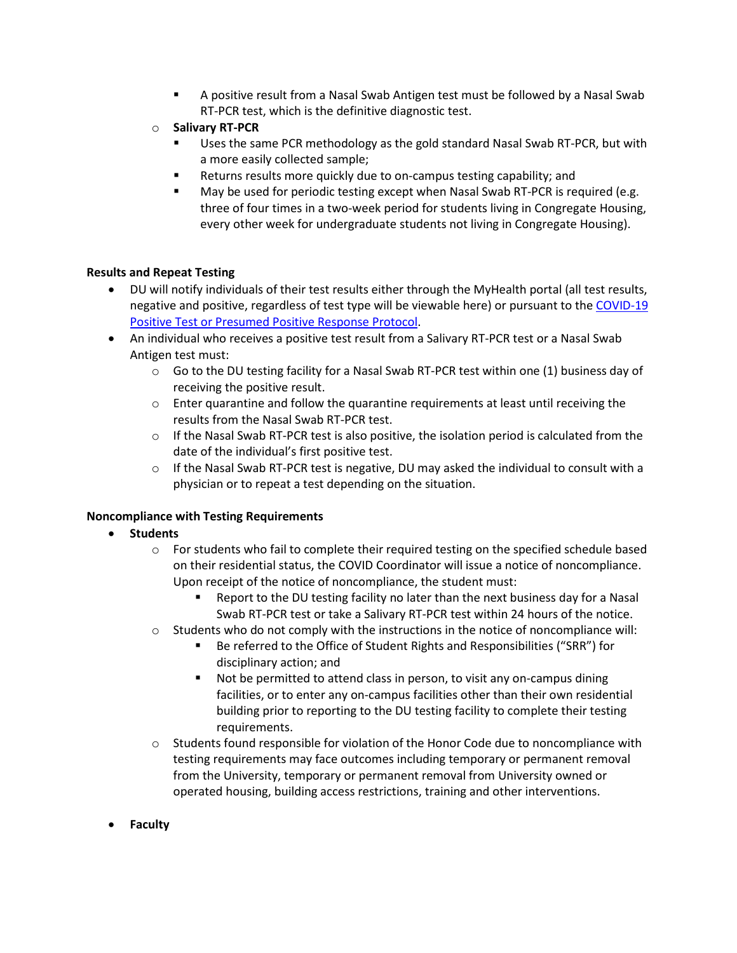- A positive result from a Nasal Swab Antigen test must be followed by a Nasal Swab RT-PCR test, which is the definitive diagnostic test.
- o **Salivary RT-PCR**
	- Uses the same PCR methodology as the gold standard Nasal Swab RT-PCR, but with a more easily collected sample;
	- Returns results more quickly due to on-campus testing capability; and
	- May be used for periodic testing except when Nasal Swab RT-PCR is required (e.g. three of four times in a two-week period for students living in Congregate Housing, every other week for undergraduate students not living in Congregate Housing).

#### **Results and Repeat Testing**

- DU will notify individuals of their test results either through the MyHealth portal (all test results, negative and positive, regardless of test type will be viewable here) or pursuant to the [COVID-19](https://www.du.edu/sites/default/files/2020-09/DU%20COVID%20Positive%209.1.2020.pdf)  [Positive Test or Presumed Positive Response Protocol.](https://www.du.edu/sites/default/files/2020-09/DU%20COVID%20Positive%209.1.2020.pdf)
- An individual who receives a positive test result from a Salivary RT-PCR test or a Nasal Swab Antigen test must:
	- $\circ$  Go to the DU testing facility for a Nasal Swab RT-PCR test within one (1) business day of receiving the positive result.
	- $\circ$  Enter quarantine and follow the quarantine requirements at least until receiving the results from the Nasal Swab RT-PCR test.
	- $\circ$  If the Nasal Swab RT-PCR test is also positive, the isolation period is calculated from the date of the individual's first positive test.
	- o If the Nasal Swab RT-PCR test is negative, DU may asked the individual to consult with a physician or to repeat a test depending on the situation.

# **Noncompliance with Testing Requirements**

- **Students**
	- o For students who fail to complete their required testing on the specified schedule based on their residential status, the COVID Coordinator will issue a notice of noncompliance. Upon receipt of the notice of noncompliance, the student must:
		- Report to the DU testing facility no later than the next business day for a Nasal Swab RT-PCR test or take a Salivary RT-PCR test within 24 hours of the notice.
	- $\circ$  Students who do not comply with the instructions in the notice of noncompliance will:
		- Be referred to the Office of Student Rights and Responsibilities ("SRR") for disciplinary action; and
		- Not be permitted to attend class in person, to visit any on-campus dining facilities, or to enter any on-campus facilities other than their own residential building prior to reporting to the DU testing facility to complete their testing requirements.
	- $\circ$  Students found responsible for violation of the Honor Code due to noncompliance with testing requirements may face outcomes including temporary or permanent removal from the University, temporary or permanent removal from University owned or operated housing, building access restrictions, training and other interventions.
- **Faculty**